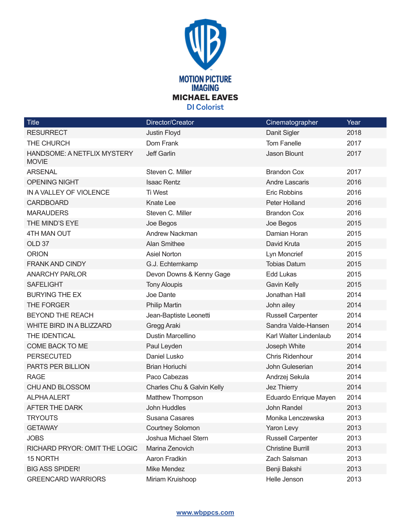

| <b>Title</b>                                | Director/Creator           | Cinematographer          | Year |
|---------------------------------------------|----------------------------|--------------------------|------|
| <b>RESURRECT</b>                            | Justin Floyd               | Danit Sigler             | 2018 |
| THE CHURCH                                  | Dom Frank                  | <b>Tom Fanelle</b>       | 2017 |
| HANDSOME: A NETFLIX MYSTERY<br><b>MOVIE</b> | <b>Jeff Garlin</b>         | Jason Blount             | 2017 |
| <b>ARSENAL</b>                              | Steven C. Miller           | <b>Brandon Cox</b>       | 2017 |
| <b>OPENING NIGHT</b>                        | <b>Isaac Rentz</b>         | <b>Andre Lascaris</b>    | 2016 |
| IN A VALLEY OF VIOLENCE                     | Ti West                    | <b>Eric Robbins</b>      | 2016 |
| <b>CARDBOARD</b>                            | <b>Knate Lee</b>           | Peter Holland            | 2016 |
| <b>MARAUDERS</b>                            | Steven C. Miller           | <b>Brandon Cox</b>       | 2016 |
| THE MIND'S EYE                              | Joe Begos                  | Joe Begos                | 2015 |
| 4TH MAN OUT                                 | Andrew Nackman             | Damian Horan             | 2015 |
| OLD <sub>37</sub>                           | <b>Alan Smithee</b>        | David Kruta              | 2015 |
| <b>ORION</b>                                | <b>Asiel Norton</b>        | Lyn Moncrief             | 2015 |
| <b>FRANK AND CINDY</b>                      | G.J. Echternkamp           | <b>Tobias Datum</b>      | 2015 |
| <b>ANARCHY PARLOR</b>                       | Devon Downs & Kenny Gage   | <b>Edd Lukas</b>         | 2015 |
| <b>SAFELIGHT</b>                            | <b>Tony Aloupis</b>        | <b>Gavin Kelly</b>       | 2015 |
| <b>BURYING THE EX</b>                       | Joe Dante                  | Jonathan Hall            | 2014 |
| THE FORGER                                  | <b>Philip Martin</b>       | John ailey               | 2014 |
| BEYOND THE REACH                            | Jean-Baptiste Leonetti     | <b>Russell Carpenter</b> | 2014 |
| WHITE BIRD IN A BLIZZARD                    | Gregg Araki                | Sandra Valde-Hansen      | 2014 |
| THE IDENTICAL                               | Dustin Marcellino          | Karl Walter Lindenlaub   | 2014 |
| COME BACK TO ME                             | Paul Leyden                | Joseph White             | 2014 |
| <b>PERSECUTED</b>                           | Daniel Lusko               | Chris Ridenhour          | 2014 |
| PARTS PER BILLION                           | <b>Brian Horiuchi</b>      | John Guleserian          | 2014 |
| <b>RAGE</b>                                 | Paco Cabezas               | Andrzej Sekula           | 2014 |
| <b>CHU AND BLOSSOM</b>                      | Charles Chu & Galvin Kelly | Jez Thierry              | 2014 |
| <b>ALPHA ALERT</b>                          | Matthew Thompson           | Eduardo Enrique Mayen    | 2014 |
| AFTER THE DARK                              | John Huddles               | John Randel              | 2013 |
| TRYOUTS                                     | Susana Casares             | Monika Lenczewska        | 2013 |
| <b>GETAWAY</b>                              | <b>Courtney Solomon</b>    | Yaron Levy               | 2013 |
| <b>JOBS</b>                                 | Joshua Michael Stern       | <b>Russell Carpenter</b> | 2013 |
| RICHARD PRYOR: OMIT THE LOGIC               | Marina Zenovich            | <b>Christine Burrill</b> | 2013 |
| 15 NORTH                                    | Aaron Fradkin              | Zach Salsman             | 2013 |
| <b>BIG ASS SPIDER!</b>                      | Mike Mendez                | Benji Bakshi             | 2013 |
| <b>GREENCARD WARRIORS</b>                   | Miriam Kruishoop           | Helle Jenson             | 2013 |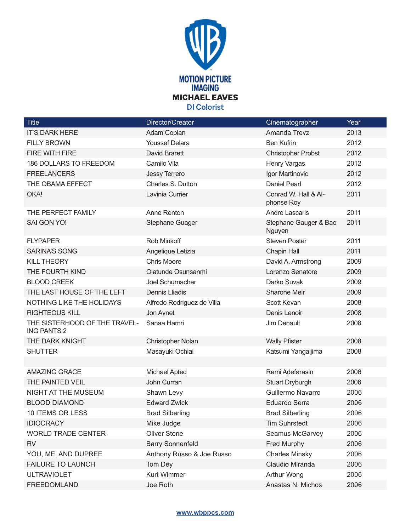

| <b>Title</b>                                        | Director/Creator           | Cinematographer                    | Year |
|-----------------------------------------------------|----------------------------|------------------------------------|------|
| <b>IT'S DARK HERE</b>                               | Adam Coplan                | Amanda Trevz                       | 2013 |
| <b>FILLY BROWN</b>                                  | <b>Youssef Delara</b>      | <b>Ben Kufrin</b>                  | 2012 |
| FIRE WITH FIRE                                      | David Brarett              | <b>Christopher Probst</b>          | 2012 |
| 186 DOLLARS TO FREEDOM                              | Camilo Vila                | Henry Vargas                       | 2012 |
| <b>FREELANCERS</b>                                  | Jessy Terrero              | Igor Martinovic                    | 2012 |
| THE OBAMA EFFECT                                    | Charles S. Dutton          | <b>Daniel Pearl</b>                | 2012 |
| OKA!                                                | Lavinia Currier            | Conrad W. Hall & Al-<br>phonse Roy | 2011 |
| THE PERFECT FAMILY                                  | Anne Renton                | <b>Andre Lascaris</b>              | 2011 |
| SAI GON YO!                                         | <b>Stephane Guager</b>     | Stephane Gauger & Bao<br>Nguyen    | 2011 |
| <b>FLYPAPER</b>                                     | Rob Minkoff                | <b>Steven Poster</b>               | 2011 |
| <b>SARINA'S SONG</b>                                | Angelique Letizia          | <b>Chapin Hall</b>                 | 2011 |
| <b>KILL THEORY</b>                                  | <b>Chris Moore</b>         | David A. Armstrong                 | 2009 |
| THE FOURTH KIND                                     | Olatunde Osunsanmi         | Lorenzo Senatore                   | 2009 |
| <b>BLOOD CREEK</b>                                  | Joel Schumacher            | Darko Suvak                        | 2009 |
| THE LAST HOUSE OF THE LEFT                          | <b>Dennis Lliadis</b>      | Sharone Meir                       | 2009 |
| NOTHING LIKE THE HOLIDAYS                           | Alfredo Rodriguez de Villa | Scott Kevan                        | 2008 |
| <b>RIGHTEOUS KILL</b>                               | Jon Avnet                  | Denis Lenoir                       | 2008 |
| THE SISTERHOOD OF THE TRAVEL-<br><b>ING PANTS 2</b> | Sanaa Hamri                | Jim Denault                        | 2008 |
| THE DARK KNIGHT                                     | Christopher Nolan          | <b>Wally Pfister</b>               | 2008 |
| <b>SHUTTER</b>                                      | Masayuki Ochiai            | Katsumi Yangaijima                 | 2008 |
|                                                     |                            |                                    |      |
| <b>AMAZING GRACE</b>                                | <b>Michael Apted</b>       | Remi Adefarasin                    | 2006 |
| THE PAINTED VEIL                                    | John Curran                | <b>Stuart Dryburgh</b>             | 2006 |
| <b>NIGHT AT THE MUSEUM</b>                          | Shawn Levy                 | Guillermo Navarro                  | 2006 |
| <b>BLOOD DIAMOND</b>                                | <b>Edward Zwick</b>        | <b>Eduardo Serra</b>               | 2006 |
| <b>10 ITEMS OR LESS</b>                             | <b>Brad Silberling</b>     | <b>Brad Silberling</b>             | 2006 |
| <b>IDIOCRACY</b>                                    | Mike Judge                 | <b>Tim Suhrstedt</b>               | 2006 |
| <b>WORLD TRADE CENTER</b>                           | <b>Oliver Stone</b>        | Seamus McGarvey                    | 2006 |
| <b>RV</b>                                           | <b>Barry Sonnenfeld</b>    | Fred Murphy                        | 2006 |
| YOU, ME, AND DUPREE                                 | Anthony Russo & Joe Russo  | <b>Charles Minsky</b>              | 2006 |
| <b>FAILURE TO LAUNCH</b>                            | Tom Dey                    | Claudio Miranda                    | 2006 |
| <b>ULTRAVIOLET</b>                                  | <b>Kurt Wimmer</b>         | Arthur Wong                        | 2006 |
| <b>FREEDOMLAND</b>                                  | Joe Roth                   | Anastas N. Michos                  | 2006 |

## **www.wbppcs.com**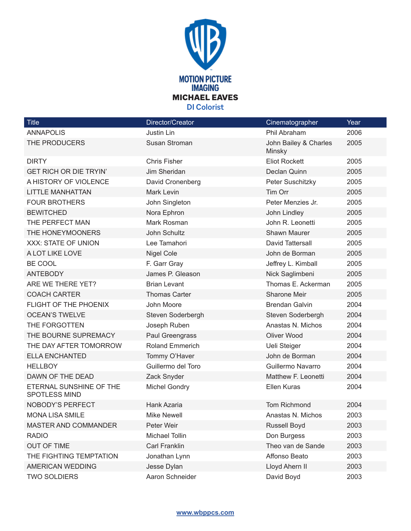

| Title                                           | Director/Creator       | Cinematographer                 | Year |
|-------------------------------------------------|------------------------|---------------------------------|------|
| <b>ANNAPOLIS</b>                                | Justin Lin             | Phil Abraham                    | 2006 |
| THE PRODUCERS                                   | Susan Stroman          | John Bailey & Charles<br>Minsky | 2005 |
| <b>DIRTY</b>                                    | <b>Chris Fisher</b>    | <b>Eliot Rockett</b>            | 2005 |
| <b>GET RICH OR DIE TRYIN'</b>                   | Jim Sheridan           | Declan Quinn                    | 2005 |
| A HISTORY OF VIOLENCE                           | David Cronenberg       | Peter Suschitzky                | 2005 |
| <b>LITTLE MANHATTAN</b>                         | <b>Mark Levin</b>      | Tim Orr                         | 2005 |
| <b>FOUR BROTHERS</b>                            | John Singleton         | Peter Menzies Jr.               | 2005 |
| <b>BEWITCHED</b>                                | Nora Ephron            | John Lindley                    | 2005 |
| THE PERFECT MAN                                 | Mark Rosman            | John R. Leonetti                | 2005 |
| THE HONEYMOONERS                                | John Schultz           | Shawn Maurer                    | 2005 |
| XXX: STATE OF UNION                             | Lee Tamahori           | David Tattersall                | 2005 |
| A LOT LIKE LOVE                                 | <b>Nigel Cole</b>      | John de Borman                  | 2005 |
| BE COOL                                         | F. Garr Gray           | Jeffrey L. Kimball              | 2005 |
| <b>ANTEBODY</b>                                 | James P. Gleason       | Nick Saglimbeni                 | 2005 |
| ARE WE THERE YET?                               | <b>Brian Levant</b>    | Thomas E. Ackerman              | 2005 |
| <b>COACH CARTER</b>                             | <b>Thomas Carter</b>   | Sharone Meir                    | 2005 |
| FLIGHT OF THE PHOENIX                           | John Moore             | <b>Brendan Galvin</b>           | 2004 |
| <b>OCEAN'S TWELVE</b>                           | Steven Soderbergh      | Steven Soderbergh               | 2004 |
| THE FORGOTTEN                                   | Joseph Ruben           | Anastas N. Michos               | 2004 |
| THE BOURNE SUPREMACY                            | Paul Greengrass        | Oliver Wood                     | 2004 |
| THE DAY AFTER TOMORROW                          | <b>Roland Emmerich</b> | Ueli Steiger                    | 2004 |
| <b>ELLA ENCHANTED</b>                           | Tommy O'Haver          | John de Borman                  | 2004 |
| <b>HELLBOY</b>                                  | Guillermo del Toro     | Guillermo Navarro               | 2004 |
| DAWN OF THE DEAD                                | Zack Snyder            | Matthew F. Leonetti             | 2004 |
| ETERNAL SUNSHINE OF THE<br><b>SPOTLESS MIND</b> | <b>Michel Gondry</b>   | Ellen Kuras                     | 2004 |
| <b>NOBODY'S PERFECT</b>                         | Hank Azaria            | <b>Tom Richmond</b>             | 2004 |
| <b>MONA LISA SMILE</b>                          | <b>Mike Newell</b>     | Anastas N. Michos               | 2003 |
| MASTER AND COMMANDER                            | Peter Weir             | Russell Boyd                    | 2003 |
| <b>RADIO</b>                                    | Michael Tollin         | Don Burgess                     | 2003 |
| <b>OUT OF TIME</b>                              | Carl Franklin          | Theo van de Sande               | 2003 |
| THE FIGHTING TEMPTATION                         | Jonathan Lynn          | Affonso Beato                   | 2003 |
| AMERICAN WEDDING                                | Jesse Dylan            | Lloyd Ahern II                  | 2003 |
| <b>TWO SOLDIERS</b>                             | Aaron Schneider        | David Boyd                      | 2003 |